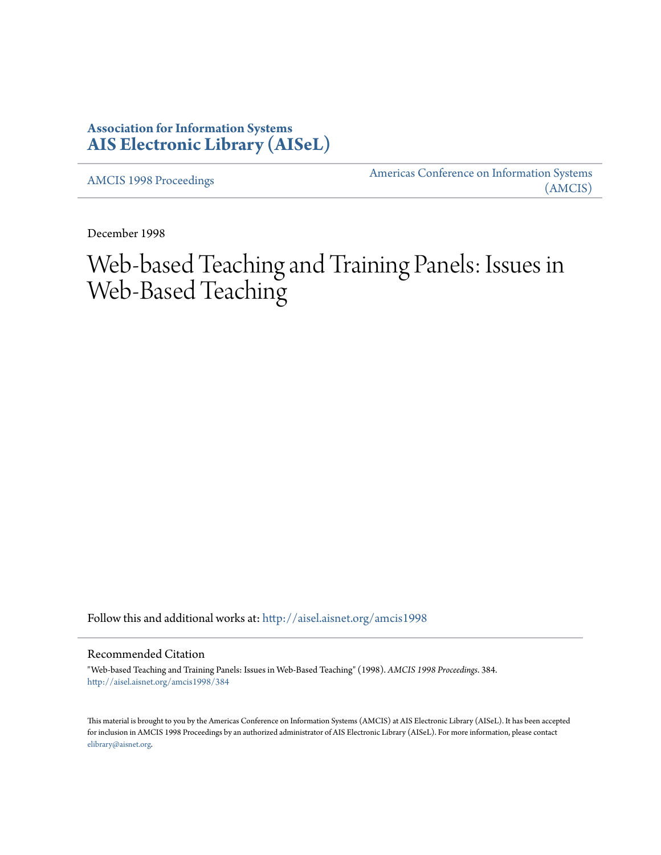## **Association for Information Systems [AIS Electronic Library \(AISeL\)](http://aisel.aisnet.org?utm_source=aisel.aisnet.org%2Famcis1998%2F384&utm_medium=PDF&utm_campaign=PDFCoverPages)**

[AMCIS 1998 Proceedings](http://aisel.aisnet.org/amcis1998?utm_source=aisel.aisnet.org%2Famcis1998%2F384&utm_medium=PDF&utm_campaign=PDFCoverPages)

[Americas Conference on Information Systems](http://aisel.aisnet.org/amcis?utm_source=aisel.aisnet.org%2Famcis1998%2F384&utm_medium=PDF&utm_campaign=PDFCoverPages) [\(AMCIS\)](http://aisel.aisnet.org/amcis?utm_source=aisel.aisnet.org%2Famcis1998%2F384&utm_medium=PDF&utm_campaign=PDFCoverPages)

December 1998

# Web-based Teaching and Training Panels: Issues in Web-Based Teaching

Follow this and additional works at: [http://aisel.aisnet.org/amcis1998](http://aisel.aisnet.org/amcis1998?utm_source=aisel.aisnet.org%2Famcis1998%2F384&utm_medium=PDF&utm_campaign=PDFCoverPages)

#### Recommended Citation

"Web-based Teaching and Training Panels: Issues in Web-Based Teaching" (1998). *AMCIS 1998 Proceedings*. 384. [http://aisel.aisnet.org/amcis1998/384](http://aisel.aisnet.org/amcis1998/384?utm_source=aisel.aisnet.org%2Famcis1998%2F384&utm_medium=PDF&utm_campaign=PDFCoverPages)

This material is brought to you by the Americas Conference on Information Systems (AMCIS) at AIS Electronic Library (AISeL). It has been accepted for inclusion in AMCIS 1998 Proceedings by an authorized administrator of AIS Electronic Library (AISeL). For more information, please contact [elibrary@aisnet.org.](mailto:elibrary@aisnet.org%3E)